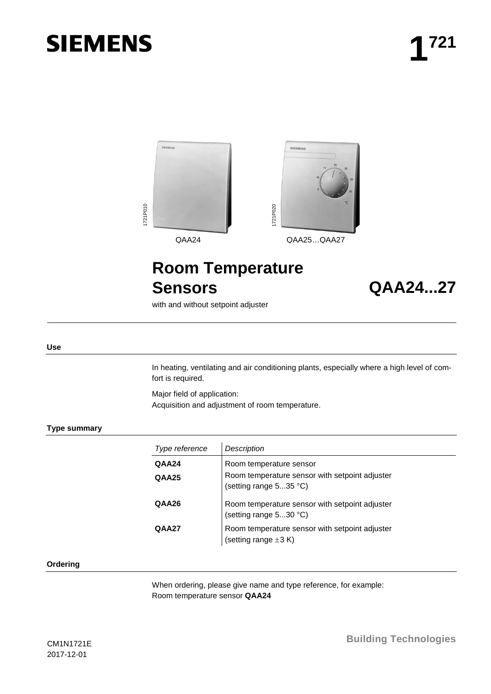# **SIEMENS**



# **Room Temperature Sensors QAA24...27**

with and without setpoint adjuster

#### **Use**

In heating, ventilating and air conditioning plants, especially where a high level of comfort is required.

Major field of application: Acquisition and adjustment of room temperature.

#### **Type summary**

| Type reference | <b>Description</b>                                                          |
|----------------|-----------------------------------------------------------------------------|
| QAA24          | Room temperature sensor                                                     |
| <b>QAA25</b>   | Room temperature sensor with setpoint adjuster<br>(setting range 535 °C)    |
| QAA26          | Room temperature sensor with setpoint adjuster<br>(setting range 530 °C)    |
| QAA27          | Room temperature sensor with setpoint adjuster<br>(setting range $\pm 3$ K) |

#### **Ordering**

When ordering, please give name and type reference, for example: Room temperature sensor **QAA24**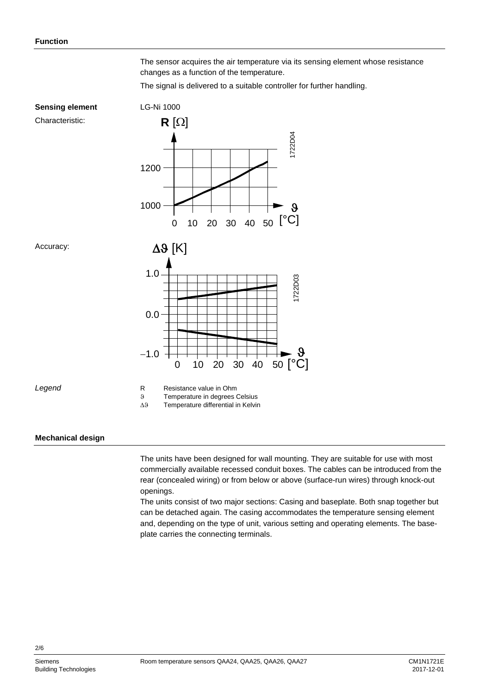The sensor acquires the air temperature via its sensing element whose resistance changes as a function of the temperature.

The signal is delivered to a suitable controller for further handling.



### **Mechanical design**

The units have been designed for wall mounting. They are suitable for use with most commercially available recessed conduit boxes. The cables can be introduced from the rear (concealed wiring) or from below or above (surface-run wires) through knock-out openings.

The units consist of two major sections: Casing and baseplate. Both snap together but can be detached again. The casing accommodates the temperature sensing element and, depending on the type of unit, various setting and operating elements. The baseplate carries the connecting terminals.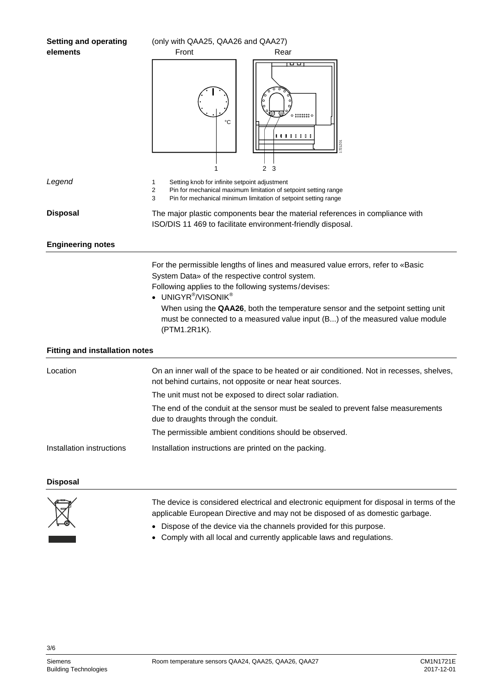| <b>Setting and operating</b>          | (only with QAA25, QAA26 and QAA27)                                                                                                                                                                                                                                                                                                                                                                                         |  |  |  |  |
|---------------------------------------|----------------------------------------------------------------------------------------------------------------------------------------------------------------------------------------------------------------------------------------------------------------------------------------------------------------------------------------------------------------------------------------------------------------------------|--|--|--|--|
| elements                              | Front<br>Rear                                                                                                                                                                                                                                                                                                                                                                                                              |  |  |  |  |
|                                       | oo<br>°C<br><b>.</b><br>721Z0<br>2 <sub>3</sub>                                                                                                                                                                                                                                                                                                                                                                            |  |  |  |  |
| Legend                                | Setting knob for infinite setpoint adjustment<br>1<br>$\overline{\mathbf{c}}$<br>Pin for mechanical maximum limitation of setpoint setting range<br>3<br>Pin for mechanical minimum limitation of setpoint setting range                                                                                                                                                                                                   |  |  |  |  |
| <b>Disposal</b>                       | The major plastic components bear the material references in compliance with<br>ISO/DIS 11 469 to facilitate environment-friendly disposal.                                                                                                                                                                                                                                                                                |  |  |  |  |
| <b>Engineering notes</b>              |                                                                                                                                                                                                                                                                                                                                                                                                                            |  |  |  |  |
|                                       | For the permissible lengths of lines and measured value errors, refer to «Basic<br>System Data» of the respective control system.<br>Following applies to the following systems/devises:<br>• UNIGYR <sup>®</sup> /VISONIK <sup>®</sup><br>When using the QAA26, both the temperature sensor and the setpoint setting unit<br>must be connected to a measured value input (B) of the measured value module<br>(PTM1.2R1K). |  |  |  |  |
| <b>Fitting and installation notes</b> |                                                                                                                                                                                                                                                                                                                                                                                                                            |  |  |  |  |
| Location                              | On an inner wall of the space to be heated or air conditioned. Not in recesses, shelves,<br>not behind curtains, not opposite or near heat sources.                                                                                                                                                                                                                                                                        |  |  |  |  |
|                                       | The unit must not be exposed to direct solar radiation.                                                                                                                                                                                                                                                                                                                                                                    |  |  |  |  |
|                                       | The end of the conduit at the sensor must be sealed to prevent false measurements<br>due to draughts through the conduit.                                                                                                                                                                                                                                                                                                  |  |  |  |  |
|                                       | The permissible ambient conditions should be observed.                                                                                                                                                                                                                                                                                                                                                                     |  |  |  |  |
| Installation instructions             | Installation instructions are printed on the packing.                                                                                                                                                                                                                                                                                                                                                                      |  |  |  |  |
| <b>Disposal</b>                       |                                                                                                                                                                                                                                                                                                                                                                                                                            |  |  |  |  |

The device is considered electrical and electronic equipment for disposal in terms of the applicable European Directive and may not be disposed of as domestic garbage.

- Dispose of the device via the channels provided for this purpose.
- Comply with all local and currently applicable laws and regulations.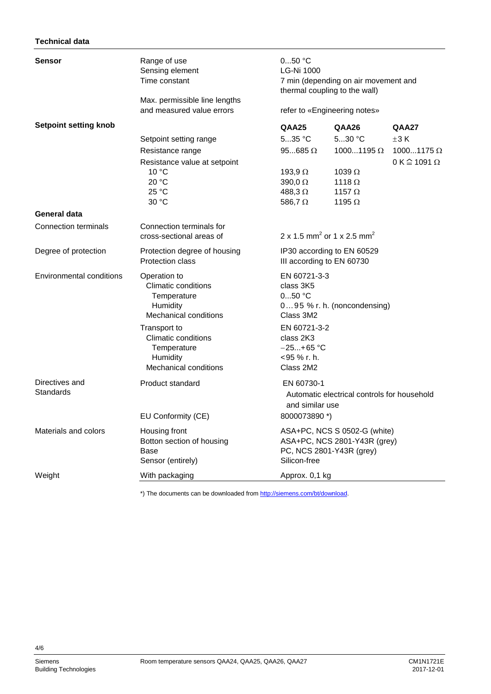# **Technical data**

| Sensor                          | Range of use<br>Sensing element<br>Time constant                                                                                                                               | 050 °C<br><b>LG-Ni 1000</b>                                                                        | 7 min (depending on air movement and<br>thermal coupling to the wall)<br>refer to «Engineering notes»     |                                                            |  |
|---------------------------------|--------------------------------------------------------------------------------------------------------------------------------------------------------------------------------|----------------------------------------------------------------------------------------------------|-----------------------------------------------------------------------------------------------------------|------------------------------------------------------------|--|
|                                 | Max. permissible line lengths<br>and measured value errors                                                                                                                     |                                                                                                    |                                                                                                           |                                                            |  |
| <b>Setpoint setting knob</b>    |                                                                                                                                                                                | QAA25                                                                                              | QAA26                                                                                                     | QAA27                                                      |  |
|                                 | Setpoint setting range<br>Resistance range<br>Resistance value at setpoint<br>10 °C<br>20 °C<br>25 °C<br>30 °C                                                                 | $535$ °C<br>$95685 \Omega$<br>193,9 $\Omega$<br>390,0 $\Omega$<br>488,3 $\Omega$<br>586,7 $\Omega$ | $530$ °C<br>10001195 $\Omega$<br>1039 $\Omega$<br>1118 $\Omega$<br>1157 $\Omega$<br>1195 $\Omega$         | $\pm 3K$<br>10001175 $\Omega$<br>$0 K \hat{=} 1091 \Omega$ |  |
| <b>General data</b>             |                                                                                                                                                                                |                                                                                                    |                                                                                                           |                                                            |  |
| <b>Connection terminals</b>     | Connection terminals for<br>cross-sectional areas of                                                                                                                           |                                                                                                    | 2 x 1.5 mm <sup>2</sup> or 1 x 2.5 mm <sup>2</sup>                                                        |                                                            |  |
| Degree of protection            | Protection degree of housing<br>Protection class                                                                                                                               | IP30 according to EN 60529<br>III according to EN 60730                                            |                                                                                                           |                                                            |  |
| <b>Environmental conditions</b> | Operation to<br><b>Climatic conditions</b><br>Temperature<br>Humidity<br><b>Mechanical conditions</b><br>Transport to<br><b>Climatic conditions</b><br>Temperature<br>Humidity | class 3K5<br>$050$ °C<br>Class 3M2<br>class 2K3<br><95 % r. h.                                     | EN 60721-3-3<br>095 % r. h. (noncondensing)<br>EN 60721-3-2<br>$-25+65$ °C                                |                                                            |  |
|                                 | <b>Mechanical conditions</b>                                                                                                                                                   | Class 2M2                                                                                          |                                                                                                           |                                                            |  |
| Directives and<br>Standards     | Product standard                                                                                                                                                               | EN 60730-1                                                                                         | Automatic electrical controls for household<br>and similar use                                            |                                                            |  |
| Materials and colors            | EU Conformity (CE)<br>Housing front<br>Botton section of housing<br>Base<br>Sensor (entirely)                                                                                  | Silicon-free                                                                                       | 8000073890 *)<br>ASA+PC, NCS S 0502-G (white)<br>ASA+PC, NCS 2801-Y43R (grey)<br>PC, NCS 2801-Y43R (grey) |                                                            |  |
| Weight                          | With packaging                                                                                                                                                                 |                                                                                                    | Approx. 0,1 kg                                                                                            |                                                            |  |

\*) The documents can be downloaded fro[m http://siemens.com/bt/download.](http://siemens.com/bt/download)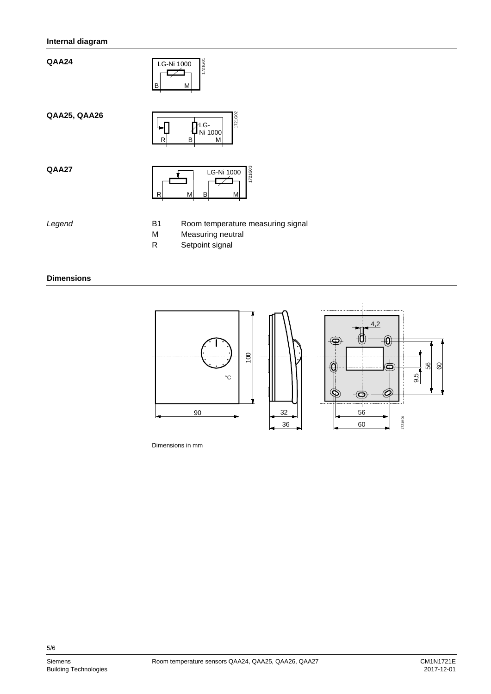# **Internal diagram**

**QAA24**



**QAA25, QAA26**



**QAA27**



*Legend*

- B1 Room temperature measuring signal
- M Measuring neutral
- R Setpoint signal

#### **Dimensions**



Dimensions in mm